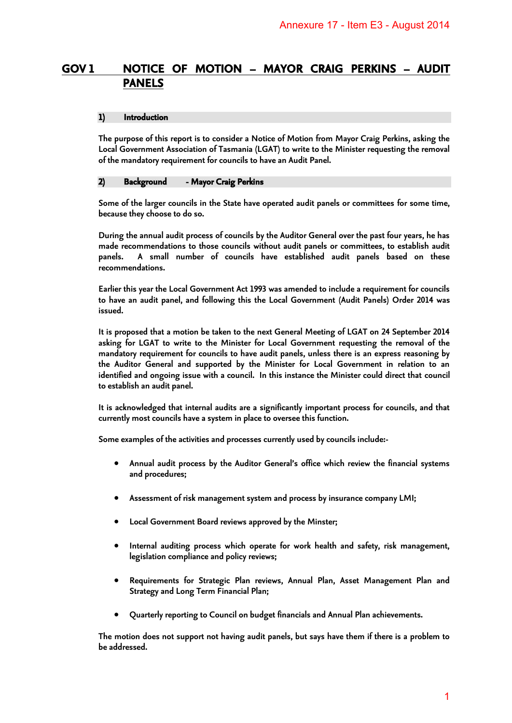# **GOV 1 NOTICE OF MOTION – MAYOR CRAIG PERKINS – AUDIT PANELS**

#### **1) Introduction**

**The purpose of this report is to consider a Notice of Motion from Mayor Craig Perkins, asking the Local Government Association of Tasmania (LGAT) to write to the Minister requesting the removal of the mandatory requirement for councils to have an Audit Panel.** 

#### **2) Background - Mayor Craig Perkins**

**Some of the larger councils in the State have operated audit panels or committees for some time, because they choose to do so.** 

**During the annual audit process of councils by the Auditor General over the past four years, he has made recommendations to those councils without audit panels or committees, to establish audit panels. A small number of councils have established audit panels based on these recommendations.** 

**Earlier this year the Local Government Act 1993 was amended to include a requirement for councils to have an audit panel, and following this the Local Government (Audit Panels) Order 2014 was issued.** 

**It is proposed that a motion be taken to the next General Meeting of LGAT on 24 September 2014 asking for LGAT to write to the Minister for Local Government requesting the removal of the mandatory requirement for councils to have audit panels, unless there is an express reasoning by the Auditor General and supported by the Minister for Local Government in relation to an identified and ongoing issue with a council. In this instance the Minister could direct that council to establish an audit panel.**  Annexure 17 - Item E3 - August 2014<br>
YOR CRAIG PERKINS - AUDIT<br>
Solution from Mayor Craig Perkins, asking the<br>
to write to the Minister requesting the removal<br>
an Audit Panel.<br>
ated audit panels or committees for some time

**It is acknowledged that internal audits are a significantly important process for councils, and that currently most councils have a system in place to oversee this function.** 

**Some examples of the activities and processes currently used by councils include:-** 

- **Annual audit process by the Auditor General's office which review the financial systems and procedures;**
- **Assessment of risk management system and process by insurance company LMI;**
- **Local Government Board reviews approved by the Minster;**
- **Internal auditing process which operate for work health and safety, risk management, legislation compliance and policy reviews;**
- **Requirements for Strategic Plan reviews, Annual Plan, Asset Management Plan and Strategy and Long Term Financial Plan;**
- **Quarterly reporting to Council on budget financials and Annual Plan achievements.**

**The motion does not support not having audit panels, but says have them if there is a problem to be addressed.**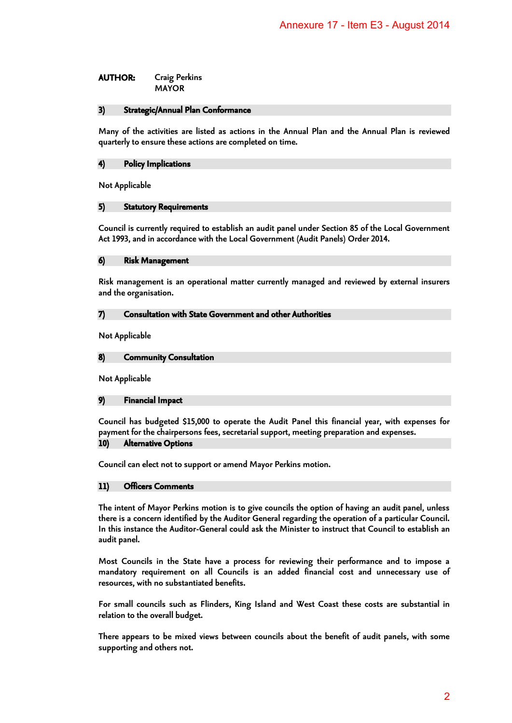**AUTHOR: Craig Perkins MAYOR** 

#### **3) Strategic/Annual Plan Conformance**

**Many of the activities are listed as actions in the Annual Plan and the Annual Plan is reviewed quarterly to ensure these actions are completed on time.** 

#### **4) Policy Implications**

**Not Applicable** 

### **5) Statutory Requirements**

**Council is currently required to establish an audit panel under Section 85 of the Local Government Act 1993, and in accordance with the Local Government (Audit Panels) Order 2014.** 

#### **6) Risk Management**

**Risk management is an operational matter currently managed and reviewed by external insurers and the organisation.** 

#### **7) Consultation with State Government and other Authorities**

**Not Applicable** 

#### **8) Community Consultation**

**Not Applicable** 

#### **9) Financial Impact**

**Council has budgeted \$15,000 to operate the Audit Panel this financial year, with expenses for payment for the chairpersons fees, secretarial support, meeting preparation and expenses.** 

# **10) Alternative Options**

**Council can elect not to support or amend Mayor Perkins motion.** 

#### **11) Officers Comments**

**The intent of Mayor Perkins motion is to give councils the option of having an audit panel, unless there is a concern identified by the Auditor General regarding the operation of a particular Council. In this instance the Auditor-General could ask the Minister to instruct that Council to establish an audit panel.**  Annexure 17 - Item E3 - August 2014<br>Annexure 17 - Item E3 - August 2014<br>time.<br>Annual Plan and the Annual Plan is reviewed<br>time.<br>Annual Plan and the Annual Plan is reviewed<br>time.<br>Any managed and reviewed by external insurer

**Most Councils in the State have a process for reviewing their performance and to impose a mandatory requirement on all Councils is an added financial cost and unnecessary use of resources, with no substantiated benefits.** 

**For small councils such as Flinders, King Island and West Coast these costs are substantial in relation to the overall budget.** 

**There appears to be mixed views between councils about the benefit of audit panels, with some supporting and others not.**